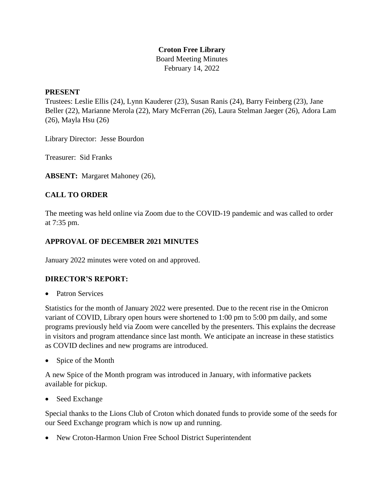### **Croton Free Library**

Board Meeting Minutes February 14, 2022

#### **PRESENT**

Trustees: Leslie Ellis (24), Lynn Kauderer (23), Susan Ranis (24), Barry Feinberg (23), Jane Beller (22), Marianne Merola (22), Mary McFerran (26), Laura Stelman Jaeger (26), Adora Lam (26), Mayla Hsu (26)

Library Director: Jesse Bourdon

Treasurer: Sid Franks

**ABSENT:** Margaret Mahoney (26),

# **CALL TO ORDER**

The meeting was held online via Zoom due to the COVID-19 pandemic and was called to order at 7:35 pm.

### **APPROVAL OF DECEMBER 2021 MINUTES**

January 2022 minutes were voted on and approved.

### **DIRECTOR'S REPORT:**

Patron Services

Statistics for the month of January 2022 were presented. Due to the recent rise in the Omicron variant of COVID, Library open hours were shortened to 1:00 pm to 5:00 pm daily, and some programs previously held via Zoom were cancelled by the presenters. This explains the decrease in visitors and program attendance since last month. We anticipate an increase in these statistics as COVID declines and new programs are introduced.

Spice of the Month

A new Spice of the Month program was introduced in January, with informative packets available for pickup.

Seed Exchange

Special thanks to the Lions Club of Croton which donated funds to provide some of the seeds for our Seed Exchange program which is now up and running.

New Croton-Harmon Union Free School District Superintendent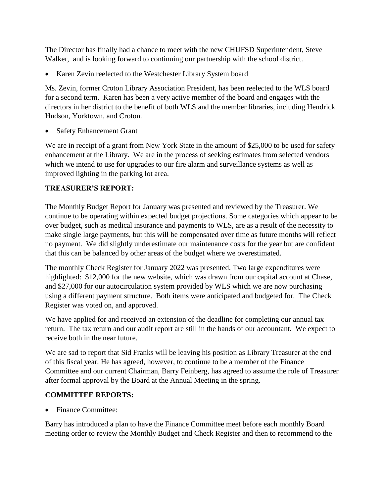The Director has finally had a chance to meet with the new CHUFSD Superintendent, Steve Walker, and is looking forward to continuing our partnership with the school district.

• Karen Zevin reelected to the Westchester Library System board

Ms. Zevin, former Croton Library Association President, has been reelected to the WLS board for a second term. Karen has been a very active member of the board and engages with the directors in her district to the benefit of both WLS and the member libraries, including Hendrick Hudson, Yorktown, and Croton.

Safety Enhancement Grant

We are in receipt of a grant from New York State in the amount of \$25,000 to be used for safety enhancement at the Library. We are in the process of seeking estimates from selected vendors which we intend to use for upgrades to our fire alarm and surveillance systems as well as improved lighting in the parking lot area.

# **TREASURER'S REPORT:**

The Monthly Budget Report for January was presented and reviewed by the Treasurer. We continue to be operating within expected budget projections. Some categories which appear to be over budget, such as medical insurance and payments to WLS, are as a result of the necessity to make single large payments, but this will be compensated over time as future months will reflect no payment. We did slightly underestimate our maintenance costs for the year but are confident that this can be balanced by other areas of the budget where we overestimated.

The monthly Check Register for January 2022 was presented. Two large expenditures were highlighted: \$12,000 for the new website, which was drawn from our capital account at Chase, and \$27,000 for our autocirculation system provided by WLS which we are now purchasing using a different payment structure. Both items were anticipated and budgeted for. The Check Register was voted on, and approved.

We have applied for and received an extension of the deadline for completing our annual tax return. The tax return and our audit report are still in the hands of our accountant. We expect to receive both in the near future.

We are sad to report that Sid Franks will be leaving his position as Library Treasurer at the end of this fiscal year. He has agreed, however, to continue to be a member of the Finance Committee and our current Chairman, Barry Feinberg, has agreed to assume the role of Treasurer after formal approval by the Board at the Annual Meeting in the spring.

# **COMMITTEE REPORTS:**

Finance Committee:

Barry has introduced a plan to have the Finance Committee meet before each monthly Board meeting order to review the Monthly Budget and Check Register and then to recommend to the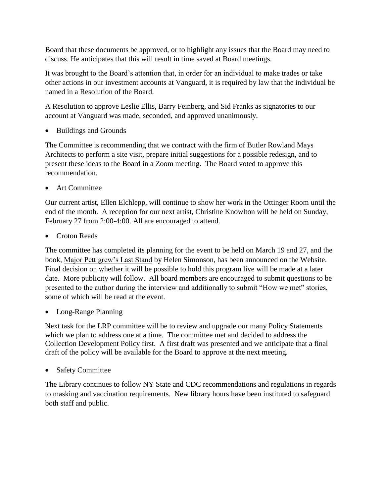Board that these documents be approved, or to highlight any issues that the Board may need to discuss. He anticipates that this will result in time saved at Board meetings.

It was brought to the Board's attention that, in order for an individual to make trades or take other actions in our investment accounts at Vanguard, it is required by law that the individual be named in a Resolution of the Board.

A Resolution to approve Leslie Ellis, Barry Feinberg, and Sid Franks as signatories to our account at Vanguard was made, seconded, and approved unanimously.

Buildings and Grounds

The Committee is recommending that we contract with the firm of Butler Rowland Mays Architects to perform a site visit, prepare initial suggestions for a possible redesign, and to present these ideas to the Board in a Zoom meeting. The Board voted to approve this recommendation.

Art Committee

Our current artist, Ellen Elchlepp, will continue to show her work in the Ottinger Room until the end of the month. A reception for our next artist, Christine Knowlton will be held on Sunday, February 27 from 2:00-4:00. All are encouraged to attend.

• Croton Reads

The committee has completed its planning for the event to be held on March 19 and 27, and the book, Major Pettigrew's Last Stand by Helen Simonson, has been announced on the Website. Final decision on whether it will be possible to hold this program live will be made at a later date. More publicity will follow. All board members are encouraged to submit questions to be presented to the author during the interview and additionally to submit "How we met" stories, some of which will be read at the event.

Long-Range Planning

Next task for the LRP committee will be to review and upgrade our many Policy Statements which we plan to address one at a time. The committee met and decided to address the Collection Development Policy first. A first draft was presented and we anticipate that a final draft of the policy will be available for the Board to approve at the next meeting.

Safety Committee

The Library continues to follow NY State and CDC recommendations and regulations in regards to masking and vaccination requirements. New library hours have been instituted to safeguard both staff and public.